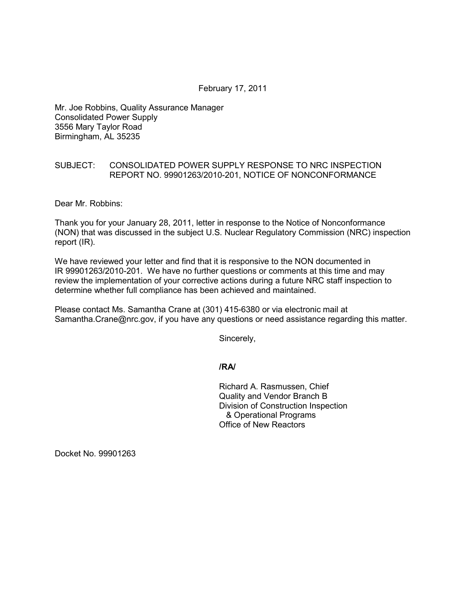# February 17, 2011

Mr. Joe Robbins, Quality Assurance Manager Consolidated Power Supply 3556 Mary Taylor Road Birmingham, AL 35235

## SUBJECT: CONSOLIDATED POWER SUPPLY RESPONSE TO NRC INSPECTION REPORT NO. 99901263/2010-201, NOTICE OF NONCONFORMANCE

Dear Mr. Robbins:

Thank you for your January 28, 2011, letter in response to the Notice of Nonconformance (NON) that was discussed in the subject U.S. Nuclear Regulatory Commission (NRC) inspection report (IR).

We have reviewed your letter and find that it is responsive to the NON documented in IR 99901263/2010-201. We have no further questions or comments at this time and may review the implementation of your corrective actions during a future NRC staff inspection to determine whether full compliance has been achieved and maintained.

Please contact Ms. Samantha Crane at (301) 415-6380 or via electronic mail at Samantha.Crane@nrc.gov, if you have any questions or need assistance regarding this matter.

Sincerely,

#### **/RA/**

Richard A. Rasmussen, Chief Quality and Vendor Branch B Division of Construction Inspection & Operational Programs Office of New Reactors

Docket No. 99901263